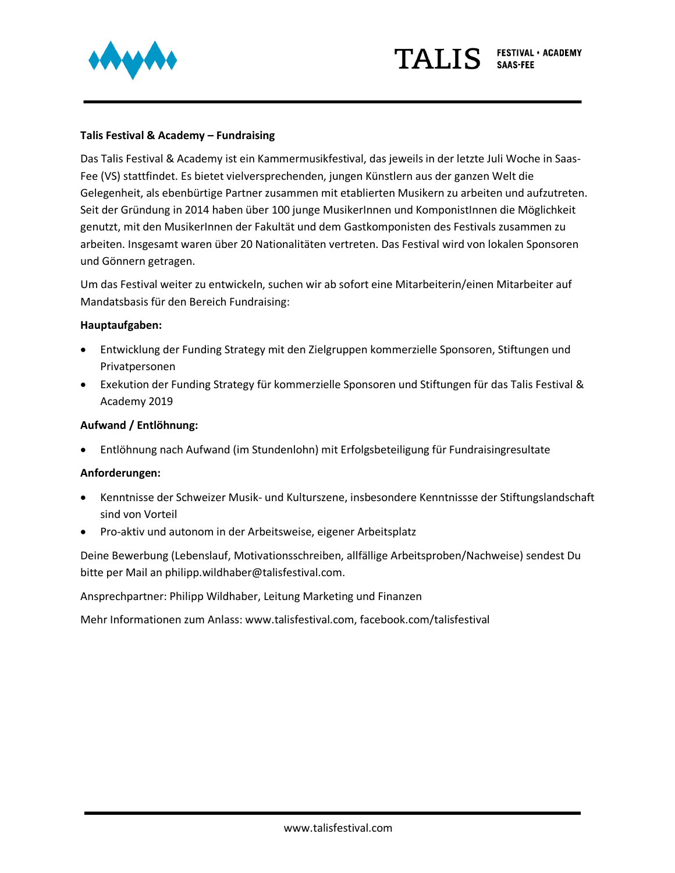

# **Talis Festival & Academy – Fundraising**

Das Talis Festival & Academy ist ein Kammermusikfestival, das jeweils in der letzte Juli Woche in Saas-Fee (VS) stattfindet. Es bietet vielversprechenden, jungen Künstlern aus der ganzen Welt die Gelegenheit, als ebenbürtige Partner zusammen mit etablierten Musikern zu arbeiten und aufzutreten. Seit der Gründung in 2014 haben über 100 junge MusikerInnen und KomponistInnen die Möglichkeit genutzt, mit den MusikerInnen der Fakultät und dem Gastkomponisten des Festivals zusammen zu arbeiten. Insgesamt waren über 20 Nationalitäten vertreten. Das Festival wird von lokalen Sponsoren und Gönnern getragen.

Um das Festival weiter zu entwickeln, suchen wir ab sofort eine Mitarbeiterin/einen Mitarbeiter auf Mandatsbasis für den Bereich Fundraising:

## **Hauptaufgaben:**

- Entwicklung der Funding Strategy mit den Zielgruppen kommerzielle Sponsoren, Stiftungen und Privatpersonen
- Exekution der Funding Strategy für kommerzielle Sponsoren und Stiftungen für das Talis Festival & Academy 2019

## **Aufwand / Entlöhnung:**

• Entlöhnung nach Aufwand (im Stundenlohn) mit Erfolgsbeteiligung für Fundraisingresultate

## **Anforderungen:**

- Kenntnisse der Schweizer Musik- und Kulturszene, insbesondere Kenntnissse der Stiftungslandschaft sind von Vorteil
- Pro-aktiv und autonom in der Arbeitsweise, eigener Arbeitsplatz

Deine Bewerbung (Lebenslauf, Motivationsschreiben, allfällige Arbeitsproben/Nachweise) sendest Du bitte per Mail an philipp.wildhaber@talisfestival.com.

Ansprechpartner: Philipp Wildhaber, Leitung Marketing und Finanzen

Mehr Informationen zum Anlass: www.talisfestival.com, facebook.com/talisfestival